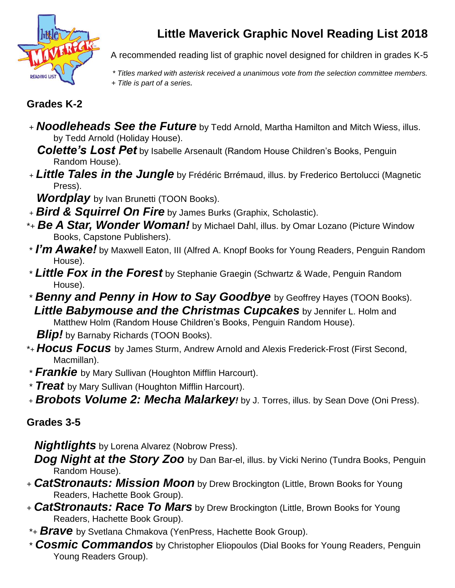

## **Little Maverick Graphic Novel Reading List 2018**

A recommended reading list of graphic novel designed for children in grades K-5

*\* Titles marked with asterisk received a unanimous vote from the selection committee members.*

 *+ Title is part of a series.*

## **Grades K-2**

<sup>+</sup> *Noodleheads See the Future* by Tedd Arnold, Martha Hamilton and Mitch Wiess, illus. by Tedd Arnold (Holiday House).

 *Colette's Lost Pet* by Isabelle Arsenault (Random House Children's Books, Penguin Random House).

<sup>+</sup> *Little Tales in the Jungle* by Frédéric Brrémaud, illus. by Frederico Bertolucci (Magnetic Press).

*Wordplay* by Ivan Brunetti (TOON Books).

- <sup>+</sup> *Bird & Squirrel On Fire* by James Burks (Graphix, Scholastic).
- \*<sup>+</sup> *Be A Star, Wonder Woman!* by Michael Dahl, illus. by Omar Lozano (Picture Window Books, Capstone Publishers).
- \* *I'm Awake!* by Maxwell Eaton, III (Alfred A. Knopf Books for Young Readers, Penguin Random House).
- \* *Little Fox in the Forest* by Stephanie Graegin (Schwartz & Wade, Penguin Random House).
- \* *Benny and Penny in How to Say Goodbye* by Geoffrey Hayes (TOON Books). *Little Babymouse and the Christmas Cupcakes* by Jennifer L. Holm and

Matthew Holm (Random House Children's Books, Penguin Random House).

*Blip!* by Barnaby Richards (TOON Books).

- \*<sup>+</sup> *Hocus Focus* by James Sturm, Andrew Arnold and Alexis Frederick-Frost (First Second, Macmillan).
- \* *Frankie* by Mary Sullivan (Houghton Mifflin Harcourt).

\* *Treat* by Mary Sullivan (Houghton Mifflin Harcourt).

<sup>+</sup> *Brobots Volume 2: Mecha Malarkey!* by J. Torres, illus. by Sean Dove (Oni Press).

## **Grades 3-5**

*Nightlights* by Lorena Alvarez (Nobrow Press).

**Dog Night at the Story Zoo** by Dan Bar-el, illus. by Vicki Nerino (Tundra Books, Penguin Random House).

- <sup>+</sup> *CatStronauts: Mission Moon* by Drew Brockington (Little, Brown Books for Young Readers, Hachette Book Group).
- <sup>+</sup> *CatStronauts: Race To Mars* by Drew Brockington (Little, Brown Books for Young Readers, Hachette Book Group).
- \*<sup>+</sup> *Brave* by Svetlana Chmakova (YenPress, Hachette Book Group).
- \* *Cosmic Commandos* by Christopher Eliopoulos (Dial Books for Young Readers, Penguin Young Readers Group).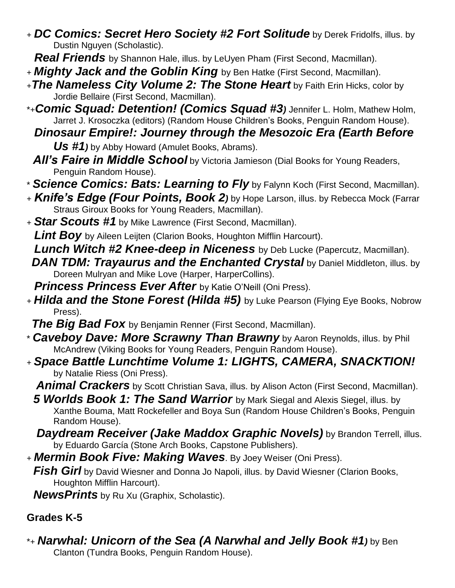<sup>+</sup> *DC Comics: Secret Hero Society #2 Fort Solitude* by Derek Fridolfs, illus. by Dustin Nguyen (Scholastic).

*Real Friends* by Shannon Hale, illus. by LeUyen Pham (First Second, Macmillan).

- <sup>+</sup> *Mighty Jack and the Goblin King* by Ben Hatke (First Second, Macmillan).
- <sup>+</sup>*The Nameless City Volume 2: The Stone Heart* by Faith Erin Hicks, color by Jordie Bellaire (First Second, Macmillan).
- \*+*Comic Squad: Detention! (Comics Squad #3)* Jennifer L. Holm, Mathew Holm, Jarret J. Krosoczka (editors) (Random House Children's Books, Penguin Random House).
	- *Dinosaur Empire!: Journey through the Mesozoic Era (Earth Before Us #1)* by Abby Howard (Amulet Books, Abrams).
	- *All's Faire in Middle School* by Victoria Jamieson (Dial Books for Young Readers, Penguin Random House).
- \* *Science Comics: Bats: Learning to Fly* by Falynn Koch (First Second, Macmillan).
- <sup>+</sup> *Knife's Edge (Four Points, Book 2)* by Hope Larson, illus. by Rebecca Mock (Farrar Straus Giroux Books for Young Readers, Macmillan).
- <sup>+</sup> *Star Scouts #1* by Mike Lawrence (First Second, Macmillan).

*Lint Boy* by Aileen Leijten (Clarion Books, Houghton Mifflin Harcourt).

*Lunch Witch #2 Knee-deep in Niceness* by Deb Lucke (Papercutz, Macmillan).

*DAN TDM: Trayaurus and the Enchanted Crystal* **by Daniel Middleton, illus. by** Doreen Mulryan and Mike Love (Harper, HarperCollins).

*Princess Princess Ever After* by Katie O'Neill (Oni Press).

<sup>+</sup> *Hilda and the Stone Forest (Hilda #5)* by Luke Pearson (Flying Eye Books, Nobrow Press).

*The Big Bad Fox* by Benjamin Renner (First Second, Macmillan).

- \* *Caveboy Dave: More Scrawny Than Brawny* by Aaron Reynolds, illus. by Phil McAndrew (Viking Books for Young Readers, Penguin Random House).
- <sup>+</sup> *Space Battle Lunchtime Volume 1: LIGHTS, CAMERA, SNACKTION!* by Natalie Riess (Oni Press).

Animal Crackers by Scott Christian Sava, illus. by Alison Acton (First Second, Macmillan).

**5 Worlds Book 1: The Sand Warrior** by Mark Siegal and Alexis Siegel, illus. by Xanthe Bouma, Matt Rockefeller and Boya Sun (Random House Children's Books, Penguin Random House).

- *Daydream Receiver (Jake Maddox Graphic Novels)* **by Brandon Terrell, illus.** by Eduardo García (Stone Arch Books, Capstone Publishers).
- <sup>+</sup> *Mermin Book Five: Making Waves*. By Joey Weiser (Oni Press).

*Fish Girl* by David Wiesner and Donna Jo Napoli, illus. by David Wiesner (Clarion Books, Houghton Mifflin Harcourt).

 *NewsPrints* by Ru Xu (Graphix, Scholastic).

## **Grades K-5**

\*<sup>+</sup> *Narwhal: Unicorn of the Sea (A Narwhal and Jelly Book #1)* by Ben Clanton (Tundra Books, Penguin Random House).